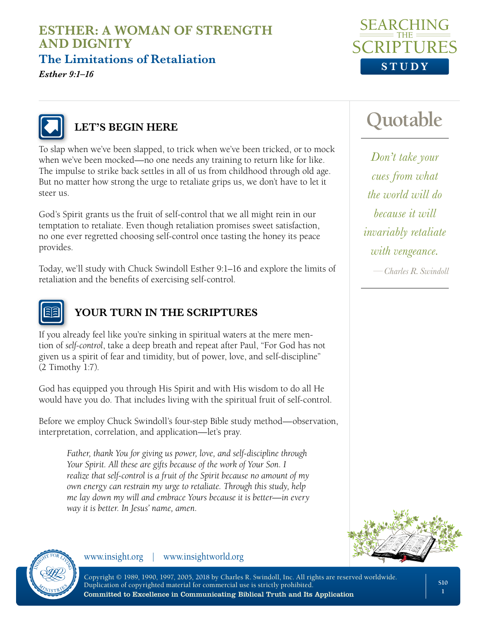**The Limitations of Retaliation** 

*Esther 9:1–16*





## **LET'S BEGIN HERE**

To slap when we've been slapped, to trick when we've been tricked, or to mock when we've been mocked—no one needs any training to return like for like. The impulse to strike back settles in all of us from childhood through old age. But no matter how strong the urge to retaliate grips us, we don't have to let it steer us.

God's Spirit grants us the fruit of self-control that we all might rein in our temptation to retaliate. Even though retaliation promises sweet satisfaction, no one ever regretted choosing self-control once tasting the honey its peace provides.

Today, we'll study with Chuck Swindoll Esther 9:1–16 and explore the limits of retaliation and the benefits of exercising self-control.



# **YOUR TURN IN THE SCRIPTURES**

If you already feel like you're sinking in spiritual waters at the mere mention of *self-control*, take a deep breath and repeat after Paul, "For God has not given us a spirit of fear and timidity, but of power, love, and self-discipline" (2 Timothy 1:7).

God has equipped you through His Spirit and with His wisdom to do all He would have you do. That includes living with the spiritual fruit of self-control.

Before we employ Chuck Swindoll's four-step Bible study method—observation, interpretation, correlation, and application—let's pray.

*Father, thank You for giving us power, love, and self-discipline through Your Spirit. All these are gifts because of the work of Your Son. I realize that self-control is a fruit of the Spirit because no amount of my own energy can restrain my urge to retaliate. Through this study, help me lay down my will and embrace Yours because it is better—in every way it is better. In Jesus' name, amen.*

www.insight.org | www.insightworld.org



*Don't take your cues from what the world will do because it will invariably retaliate with vengeance.*

*—Charles R. Swindoll*





Copyright © 1989, 1990, 1997, 2005, 2018 by Charles R. Swindoll, Inc. All rights are reserved worldwide. Duplication of copyrighted material for commercial use is strictly prohibited.

Committed to Excellence in Communicating Biblical Truth and Its Application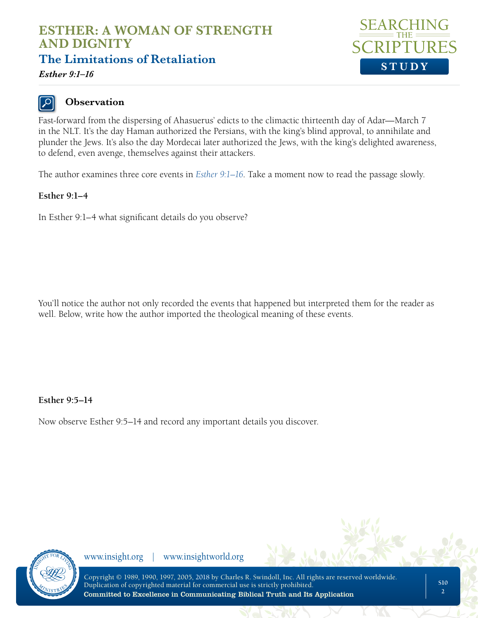**The Limitations of Retaliation** 



*Esther 9:1–16*

## **Observation**

Fast-forward from the dispersing of Ahasuerus' edicts to the climactic thirteenth day of Adar—March 7 in the NLT. It's the day Haman authorized the Persians, with the king's blind approval, to annihilate and plunder the Jews. It's also the day Mordecai later authorized the Jews, with the king's delighted awareness, to defend, even avenge, themselves against their attackers.

The author examines three core events in *[Esther 9:1–16](https://www.biblegateway.com/passage/?search=esther+9&version=NLT)*. Take a moment now to read the passage slowly.

#### **Esther 9:1–4**

In Esther 9:1–4 what significant details do you observe?

You'll notice the author not only recorded the events that happened but interpreted them for the reader as well. Below, write how the author imported the theological meaning of these events.

#### **Esther 9:5–14**

Now observe Esther 9:5–14 and record any important details you discover.

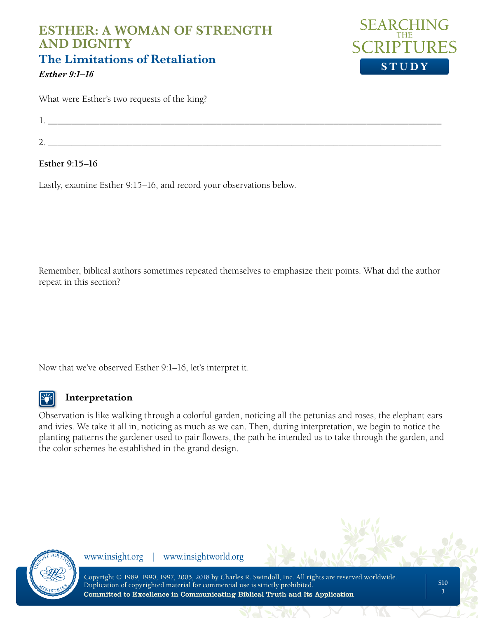## **ESTHER: A WOMAN OF STRENGTH AND DIGNITY The Limitations of Retaliation**



*Esther 9:1–16*

What were Esther's two requests of the king?

1.  $\blacksquare$ 

 $2.$ 

#### **Esther 9:15–16**

Lastly, examine Esther 9:15–16, and record your observations below.

Remember, biblical authors sometimes repeated themselves to emphasize their points. What did the author repeat in this section?

Now that we've observed Esther 9:1–16, let's interpret it.



### **Interpretation**

Observation is like walking through a colorful garden, noticing all the petunias and roses, the elephant ears and ivies. We take it all in, noticing as much as we can. Then, during interpretation, we begin to notice the planting patterns the gardener used to pair flowers, the path he intended us to take through the garden, and the color schemes he established in the grand design.

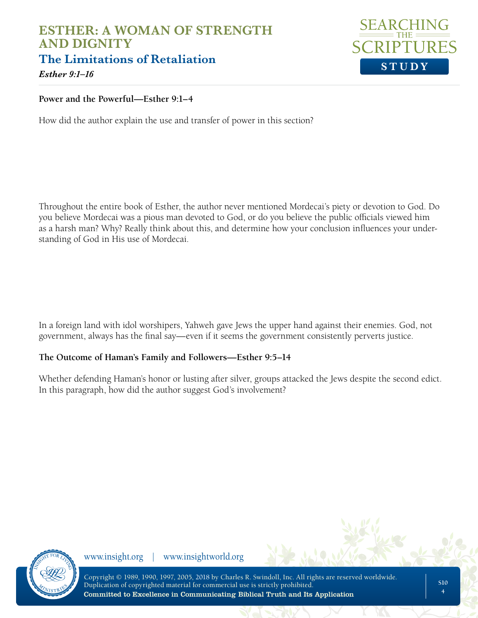## **ESTHER: A WOMAN OF STRENGTH AND DIGNITY The Limitations of Retaliation**



*Esther 9:1–16*

#### **Power and the Powerful—Esther 9:1–4**

How did the author explain the use and transfer of power in this section?

Throughout the entire book of Esther, the author never mentioned Mordecai's piety or devotion to God. Do you believe Mordecai was a pious man devoted to God, or do you believe the public officials viewed him as a harsh man? Why? Really think about this, and determine how your conclusion influences your understanding of God in His use of Mordecai.

In a foreign land with idol worshipers, Yahweh gave Jews the upper hand against their enemies. God, not government, always has the final say—even if it seems the government consistently perverts justice.

#### **The Outcome of Haman's Family and Followers—Esther 9:5–14**

Whether defending Haman's honor or lusting after silver, groups attacked the Jews despite the second edict. In this paragraph, how did the author suggest God's involvement?

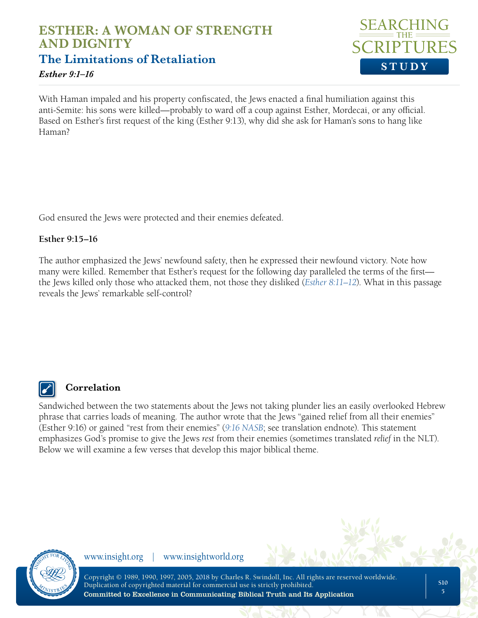**The Limitations of Retaliation** 

#### *Esther 9:1–16*



With Haman impaled and his property confiscated, the Jews enacted a final humiliation against this anti-Semite: his sons were killed—probably to ward off a coup against Esther, Mordecai, or any official. Based on Esther's first request of the king (Esther 9:13), why did she ask for Haman's sons to hang like Haman?

God ensured the Jews were protected and their enemies defeated.

#### **Esther 9:15–16**

The author emphasized the Jews' newfound safety, then he expressed their newfound victory. Note how many were killed. Remember that Esther's request for the following day paralleled the terms of the first the Jews killed only those who attacked them, not those they disliked (*[Esther 8:11–12](https://www.biblegateway.com/passage/?search=Esther+8&version=NLT)*). What in this passage reveals the Jews' remarkable self-control?



## **Correlation**

Sandwiched between the two statements about the Jews not taking plunder lies an easily overlooked Hebrew phrase that carries loads of meaning. The author wrote that the Jews "gained relief from all their enemies" (Esther 9:16) or gained "rest from their enemies" (*[9:16 NASB](https://www.biblegateway.com/passage/?search=Esther+9%3A16&version=NASB)*; see translation endnote). This statement emphasizes God's promise to give the Jews *rest* from their enemies (sometimes translated *relief* in the NLT). Below we will examine a few verses that develop this major biblical theme.

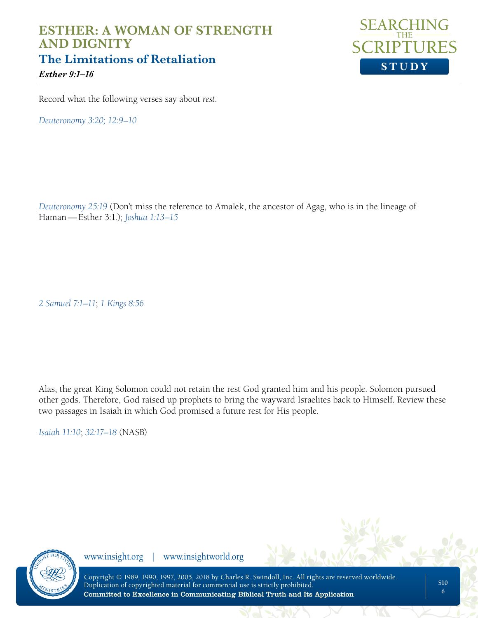## **ESTHER: A WOMAN OF STRENGTH AND DIGNITY The Limitations of Retaliation**  *Esther 9:1–16*



Record what the following verses say about *rest*.

*[Deuteronomy 3:20](https://www.biblegateway.com/passage/?search=Deuteronomy+3&version=NLT); [12:9–10](https://www.biblegateway.com/passage/?search=Deuteronomy+12%3A9-10&version=NLT)*

*[Deuteronomy 25:19](https://www.biblegateway.com/passage/?search=deuteronomy+25&version=NLT)* (Don't miss the reference to Amalek, the ancestor of Agag, who is in the lineage of Haman—Esther 3:1.); *[Joshua 1:13–15](https://www.biblegateway.com/passage/?search=joshua+1%3A13-15&version=NLT)*

*[2 Samuel 7:1–11](https://www.biblegateway.com/passage/?search=deuteronomy+25&version=NLT)*; *[1 Kings 8:56](https://www.biblegateway.com/passage/?search=1+Kings+8&version=NLT)*

Alas, the great King Solomon could not retain the rest God granted him and his people. Solomon pursued other gods. Therefore, God raised up prophets to bring the wayward Israelites back to Himself. Review these two passages in Isaiah in which God promised a future rest for His people.

*[Isaiah 11:10](https://www.biblegateway.com/passage/?search=isaiah+11&version=NASB)*; *[32:17–18](https://www.biblegateway.com/passage/?search=isaiah++32&version=NASB)* (NASB)

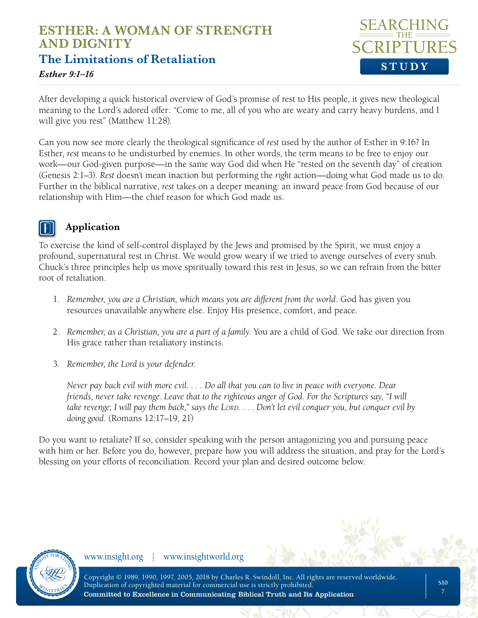# **ESTHER: A WOMAN OF STRENGTH AND DIGNITY The Limitations of Retaliation**



#### *Esther 9:1–16*

After developing a quick historical overview of God's promise of rest to His people, it gives new theological meaning to the Lord's adored offer: "Come to me, all of you who are weary and carry heavy burdens, and I will give you rest" (Matthew 11:28).

Can you now see more clearly the theological significance of *rest* used by the author of Esther in 9:16? In Esther, *rest* means to be undisturbed by enemies. In other words, the term means to be free to enjoy our work—our God-given purpose—in the same way God did when He "rested on the seventh day" of creation (Genesis 2:1–3). *Rest* doesn't mean inaction but performing the *right* action—doing what God made us to do. Further in the biblical narrative, *rest* takes on a deeper meaning: an inward peace from God because of our relationship with Him—the chief reason for which God made us.

### **Application**

To exercise the kind of self-control displayed by the Jews and promised by the Spirit, we must enjoy a profound, supernatural rest in Christ. We would grow weary if we tried to avenge ourselves of every snub. Chuck's three principles help us move spiritually toward this rest in Jesus, so we can refrain from the bitter root of retaliation.

- 1. *Remember, you are a Christian, which means you are different from the world*. God has given you resources unavailable anywhere else. Enjoy His presence, comfort, and peace.
- 2. *Remember, as a Christian, you are a part of a family*. You are a child of God. We take our direction from His grace rather than retaliatory instincts.
- 3. *Remember, the Lord is your defender*.

*Never pay back evil with more evil. . . . Do all that you can to live in peace with everyone. Dear friends, never take revenge. Leave that to the righteous anger of God. For the Scriptures say, "I will take revenge; I will pay them back," says the LORD. . . . Don't let evil conquer you, but conquer evil by doing good.* (Romans 12:17–19, 21)

Do you want to retaliate? If so, consider speaking with the person antagonizing you and pursuing peace with him or her. Before you do, however, prepare how you will address the situation, and pray for the Lord's blessing on your efforts of reconciliation. Record your plan and desired outcome below.

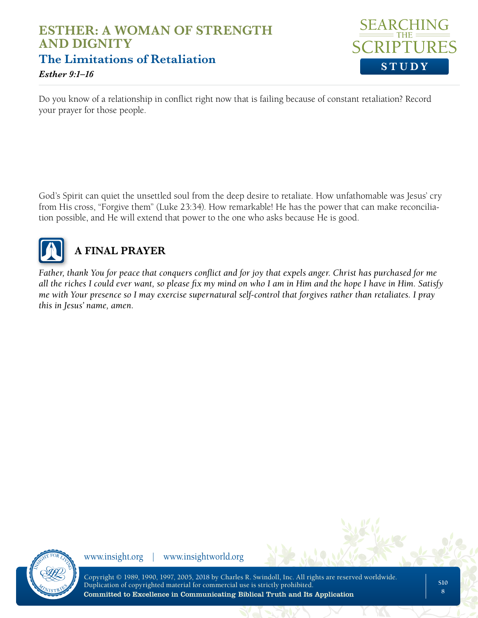## **ESTHER: A WOMAN OF STRENGTH AND DIGNITY The Limitations of Retaliation**  *Esther 9:1–16*



Do you know of a relationship in conflict right now that is failing because of constant retaliation? Record your prayer for those people.

God's Spirit can quiet the unsettled soul from the deep desire to retaliate. How unfathomable was Jesus' cry from His cross, "Forgive them" (Luke 23:34). How remarkable! He has the power that can make reconciliation possible, and He will extend that power to the one who asks because He is good.



# **A FINAL PRAYER**

*Father, thank You for peace that conquers conflict and for joy that expels anger. Christ has purchased for me all the riches I could ever want, so please fix my mind on who I am in Him and the hope I have in Him. Satisfy me with Your presence so I may exercise supernatural self-control that forgives rather than retaliates. I pray this in Jesus' name, amen.*



www.insight.org | www.insightworld.org

Copyright © 1989, 1990, 1997, 2005, 2018 by Charles R. Swindoll, Inc. All rights are reserved worldwide. Duplication of copyrighted material for commercial use is strictly prohibited. Committed to Excellence in Communicating Biblical Truth and Its Application